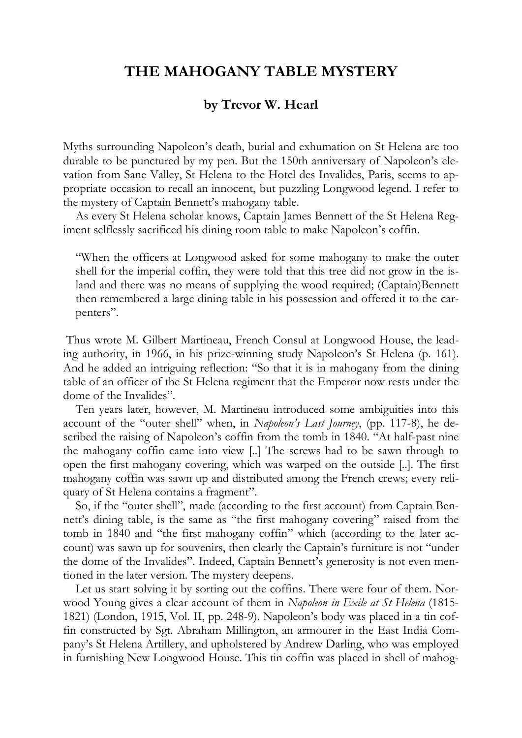## **THE MAHOGANY TABLE MYSTERY**

## **by Trevor W. Hearl**

Myths surrounding Napoleon's death, burial and exhumation on St Helena are too durable to be punctured by my pen. But the 150th anniversary of Napoleon's elevation from Sane Valley, St Helena to the Hotel des Invalides, Paris, seems to appropriate occasion to recall an innocent, but puzzling Longwood legend. I refer to the mystery of Captain Bennett's mahogany table.

As every St Helena scholar knows, Captain James Bennett of the St Helena Regiment selflessly sacrificed his dining room table to make Napoleon's coffin.

"When the officers at Longwood asked for some mahogany to make the outer shell for the imperial coffin, they were told that this tree did not grow in the island and there was no means of supplying the wood required; (Captain)Bennett then remembered a large dining table in his possession and offered it to the carpenters".

 Thus wrote M. Gilbert Martineau, French Consul at Longwood House, the leading authority, in 1966, in his prize-winning study Napoleon's St Helena (p. 161). And he added an intriguing reflection: "So that it is in mahogany from the dining table of an officer of the St Helena regiment that the Emperor now rests under the dome of the Invalides".

Ten years later, however, M. Martineau introduced some ambiguities into this account of the "outer shell" when, in *Napoleon's Last Journey*, (pp. 117-8), he described the raising of Napoleon's coffin from the tomb in 1840. "At half-past nine the mahogany coffin came into view [..] The screws had to be sawn through to open the first mahogany covering, which was warped on the outside [..]. The first mahogany coffin was sawn up and distributed among the French crews; every reliquary of St Helena contains a fragment".

So, if the "outer shell", made (according to the first account) from Captain Bennett's dining table, is the same as "the first mahogany covering" raised from the tomb in 1840 and "the first mahogany coffin" which (according to the later account) was sawn up for souvenirs, then clearly the Captain's furniture is not "under the dome of the Invalides". Indeed, Captain Bennett's generosity is not even mentioned in the later version. The mystery deepens.

Let us start solving it by sorting out the coffins. There were four of them. Norwood Young gives a clear account of them in *Napoleon in Exile at St Helena* (1815- 1821) (London, 1915, Vol. II, pp. 248-9). Napoleon's body was placed in a tin coffin constructed by Sgt. Abraham Millington, an armourer in the East India Company's St Helena Artillery, and upholstered by Andrew Darling, who was employed in furnishing New Longwood House. This tin coffin was placed in shell of mahog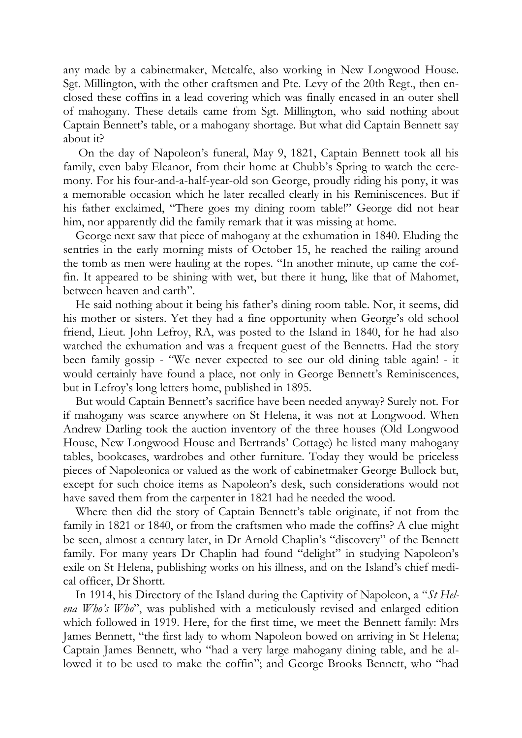any made by a cabinetmaker, Metcalfe, also working in New Longwood House. Sgt. Millington, with the other craftsmen and Pte. Levy of the 20th Regt., then enclosed these coffins in a lead covering which was finally encased in an outer shell of mahogany. These details came from Sgt. Millington, who said nothing about Captain Bennett's table, or a mahogany shortage. But what did Captain Bennett say about it?

 On the day of Napoleon's funeral, May 9, 1821, Captain Bennett took all his family, even baby Eleanor, from their home at Chubb's Spring to watch the ceremony. For his four-and-a-half-year-old son George, proudly riding his pony, it was a memorable occasion which he later recalled clearly in his Reminiscences. But if his father exclaimed, "There goes my dining room table!" George did not hear him, nor apparently did the family remark that it was missing at home.

George next saw that piece of mahogany at the exhumation in 1840. Eluding the sentries in the early morning mists of October 15, he reached the railing around the tomb as men were hauling at the ropes. "In another minute, up came the coffin. It appeared to be shining with wet, but there it hung, like that of Mahomet, between heaven and earth".

He said nothing about it being his father's dining room table. Nor, it seems, did his mother or sisters. Yet they had a fine opportunity when George's old school friend, Lieut. John Lefroy, RA, was posted to the Island in 1840, for he had also watched the exhumation and was a frequent guest of the Bennetts. Had the story been family gossip - "We never expected to see our old dining table again! - it would certainly have found a place, not only in George Bennett's Reminiscences, but in Lefroy's long letters home, published in 1895.

But would Captain Bennett's sacrifice have been needed anyway? Surely not. For if mahogany was scarce anywhere on St Helena, it was not at Longwood. When Andrew Darling took the auction inventory of the three houses (Old Longwood House, New Longwood House and Bertrands' Cottage) he listed many mahogany tables, bookcases, wardrobes and other furniture. Today they would be priceless pieces of Napoleonica or valued as the work of cabinetmaker George Bullock but, except for such choice items as Napoleon's desk, such considerations would not have saved them from the carpenter in 1821 had he needed the wood.

Where then did the story of Captain Bennett's table originate, if not from the family in 1821 or 1840, or from the craftsmen who made the coffins? A clue might be seen, almost a century later, in Dr Arnold Chaplin's "discovery" of the Bennett family. For many years Dr Chaplin had found "delight" in studying Napoleon's exile on St Helena, publishing works on his illness, and on the Island's chief medical officer, Dr Shortt.

In 1914, his Directory of the Island during the Captivity of Napoleon, a "*St Helena Who's Who*", was published with a meticulously revised and enlarged edition which followed in 1919. Here, for the first time, we meet the Bennett family: Mrs James Bennett, "the first lady to whom Napoleon bowed on arriving in St Helena; Captain James Bennett, who "had a very large mahogany dining table, and he allowed it to be used to make the coffin"; and George Brooks Bennett, who "had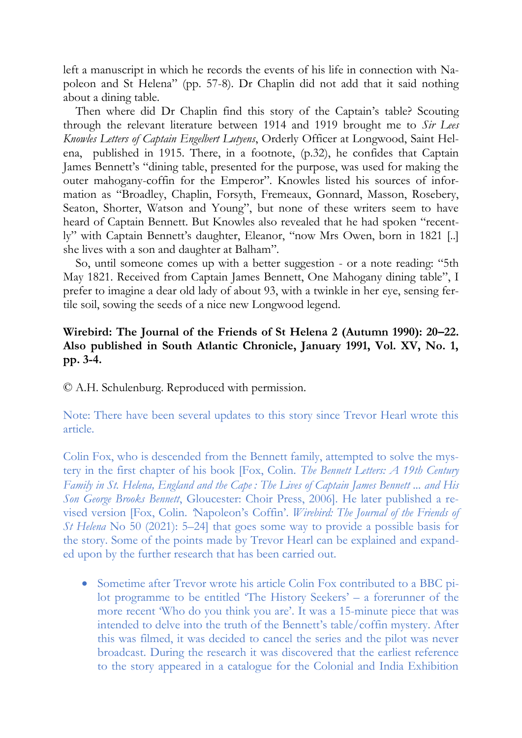left a manuscript in which he records the events of his life in connection with Napoleon and St Helena" (pp. 57-8). Dr Chaplin did not add that it said nothing about a dining table.

Then where did Dr Chaplin find this story of the Captain's table? Scouting through the relevant literature between 1914 and 1919 brought me to *Sir Lees Knowles Letters of Captain Engelbert Lutyens*, Orderly Officer at Longwood, Saint Helena, published in 1915. There, in a footnote, (p.32), he confides that Captain James Bennett's "dining table, presented for the purpose, was used for making the outer mahogany-coffin for the Emperor". Knowles listed his sources of information as "Broadley, Chaplin, Forsyth, Fremeaux, Gonnard, Masson, Rosebery, Seaton, Shorter, Watson and Young", but none of these writers seem to have heard of Captain Bennett. But Knowles also revealed that he had spoken "recently" with Captain Bennett's daughter, Eleanor, "now Mrs Owen, born in 1821 [..] she lives with a son and daughter at Balham".

So, until someone comes up with a better suggestion - or a note reading: "5th May 1821. Received from Captain James Bennett, One Mahogany dining table", I prefer to imagine a dear old lady of about 93, with a twinkle in her eye, sensing fertile soil, sowing the seeds of a nice new Longwood legend.

## **Wirebird: The Journal of the Friends of St Helena 2 (Autumn 1990): 20–22. Also published in South Atlantic Chronicle, January 1991, Vol. XV, No. 1, pp. 3-4.**

© A.H. Schulenburg. Reproduced with permission.

Note: There have been several updates to this story since Trevor Hearl wrote this article.

Colin Fox, who is descended from the Bennett family, attempted to solve the mystery in the first chapter of his book [Fox, Colin. *The Bennett Letters: A 19th Century Family in St. Helena, England and the Cape : The Lives of Captain James Bennett ... and His Son George Brooks Bennett*, Gloucester: Choir Press, 2006]. He later published a revised version [Fox, Colin. *'*Napoleon's Coffin'. *Wirebird: The Journal of the Friends of St Helena* No 50 (2021): 5–24] that goes some way to provide a possible basis for the story. Some of the points made by Trevor Hearl can be explained and expanded upon by the further research that has been carried out.

 Sometime after Trevor wrote his article Colin Fox contributed to a BBC pilot programme to be entitled 'The History Seekers' – a forerunner of the more recent 'Who do you think you are'. It was a 15-minute piece that was intended to delve into the truth of the Bennett's table/coffin mystery. After this was filmed, it was decided to cancel the series and the pilot was never broadcast. During the research it was discovered that the earliest reference to the story appeared in a catalogue for the Colonial and India Exhibition